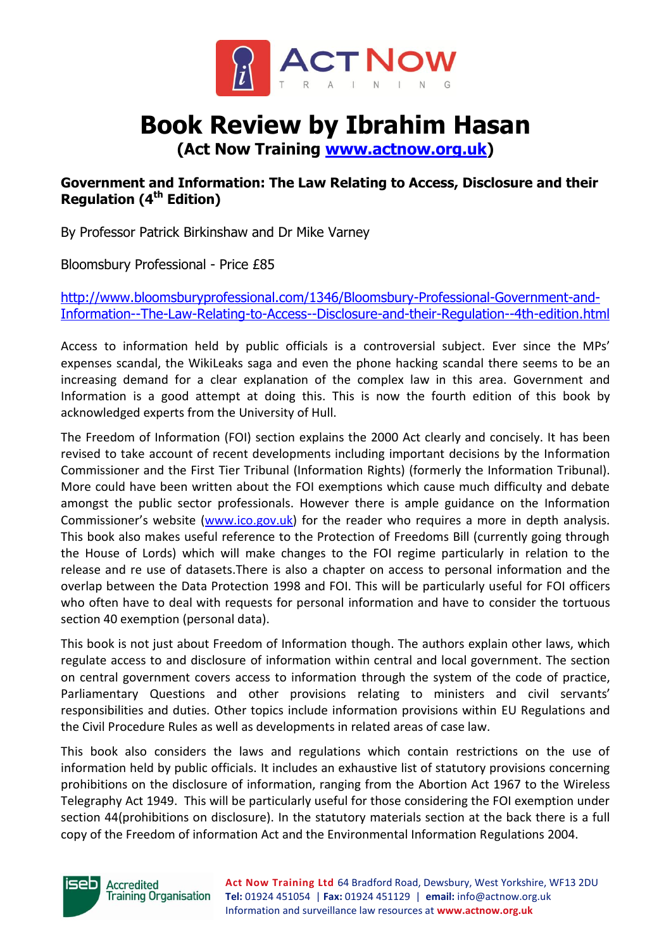

# **Book Review by Ibrahim Hasan**

**(Act Now Training [www.actnow.org.uk\)](http://www.actnow.org.uk/)**

### **Government and Information: The Law Relating to Access, Disclosure and their Regulation (4 th Edition)**

By Professor Patrick Birkinshaw and Dr Mike Varney

Bloomsbury Professional - Price £85

[http://www.bloomsburyprofessional.com/1346/Bloomsbury-Professional-Government-and-](http://www.bloomsburyprofessional.com/1346/Bloomsbury-Professional-Government-and-Information--The-Law-Relating-to-Access--Disclosure-and-their-Regulation--4th-edition.html)[Information--The-Law-Relating-to-Access--Disclosure-and-their-Regulation--4th-edition.html](http://www.bloomsburyprofessional.com/1346/Bloomsbury-Professional-Government-and-Information--The-Law-Relating-to-Access--Disclosure-and-their-Regulation--4th-edition.html)

Access to information held by public officials is a controversial subject. Ever since the MPs' expenses scandal, the WikiLeaks saga and even the phone hacking scandal there seems to be an increasing demand for a clear explanation of the complex law in this area. Government and Information is a good attempt at doing this. This is now the fourth edition of this book by acknowledged experts from the University of Hull.

The Freedom of Information (FOI) section explains the 2000 Act clearly and concisely. It has been revised to take account of recent developments including important decisions by the Information Commissioner and the First Tier Tribunal (Information Rights) (formerly the Information Tribunal). More could have been written about the FOI exemptions which cause much difficulty and debate amongst the public sector professionals. However there is ample guidance on the Information Commissioner's website ([www.ico.gov.uk\)](http://www.ico.gov.uk/) for the reader who requires a more in depth analysis. This book also makes useful reference to the Protection of Freedoms Bill (currently going through the House of Lords) which will make changes to the FOI regime particularly in relation to the release and re use of datasets.There is also a chapter on access to personal information and the overlap between the Data Protection 1998 and FOI. This will be particularly useful for FOI officers who often have to deal with requests for personal information and have to consider the tortuous section 40 exemption (personal data).

This book is not just about Freedom of Information though. The authors explain other laws, which regulate access to and disclosure of information within central and local government. The section on central government covers access to information through the system of the code of practice, Parliamentary Questions and other provisions relating to ministers and civil servants' responsibilities and duties. Other topics include information provisions within EU Regulations and the Civil Procedure Rules as well as developments in related areas of case law.

This book also considers the laws and regulations which contain restrictions on the use of information held by public officials. It includes an exhaustive list of statutory provisions concerning prohibitions on the disclosure of information, ranging from the Abortion Act 1967 to the Wireless Telegraphy Act 1949. This will be particularly useful for those considering the FOI exemption under section 44(prohibitions on disclosure). In the statutory materials section at the back there is a full copy of the Freedom of information Act and the Environmental Information Regulations 2004.



**Accredited Training Organisation**